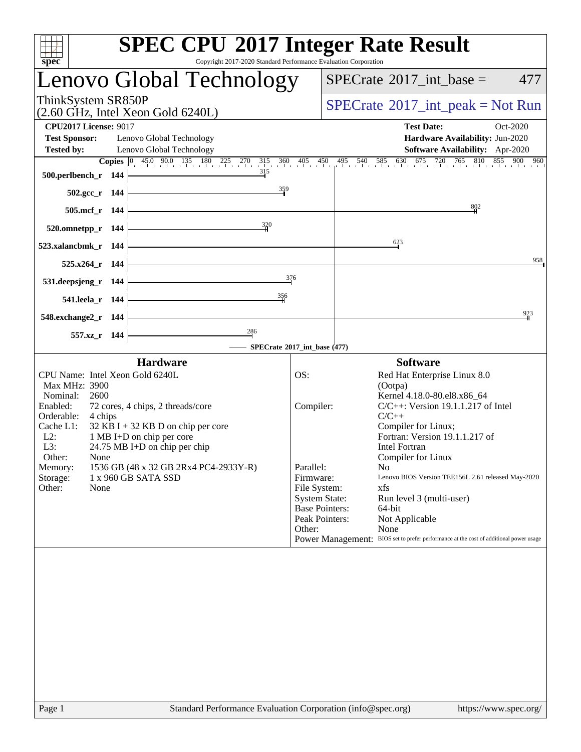| Copyright 2017-2020 Standard Performance Evaluation Corporation<br>spec <sup>®</sup>                                                                                                                                                                                                                                                                                                                                    |                                                                                                                                         | <b>SPEC CPU®2017 Integer Rate Result</b>                                                                                                                                                                                                                                                                                                                                                                                                                                   |
|-------------------------------------------------------------------------------------------------------------------------------------------------------------------------------------------------------------------------------------------------------------------------------------------------------------------------------------------------------------------------------------------------------------------------|-----------------------------------------------------------------------------------------------------------------------------------------|----------------------------------------------------------------------------------------------------------------------------------------------------------------------------------------------------------------------------------------------------------------------------------------------------------------------------------------------------------------------------------------------------------------------------------------------------------------------------|
| Lenovo Global Technology                                                                                                                                                                                                                                                                                                                                                                                                |                                                                                                                                         | $SPECrate^{\circledast}2017\_int\_base =$<br>477                                                                                                                                                                                                                                                                                                                                                                                                                           |
| ThinkSystem SR850P<br>(2.60 GHz, Intel Xeon Gold 6240L)                                                                                                                                                                                                                                                                                                                                                                 |                                                                                                                                         | $SPECrate^{\circledast}2017\_int\_peak = Not Run$                                                                                                                                                                                                                                                                                                                                                                                                                          |
| <b>CPU2017 License: 9017</b><br><b>Test Sponsor:</b><br>Lenovo Global Technology<br><b>Tested by:</b><br>Lenovo Global Technology                                                                                                                                                                                                                                                                                       |                                                                                                                                         | <b>Test Date:</b><br>Oct-2020<br>Hardware Availability: Jun-2020<br>Software Availability: Apr-2020                                                                                                                                                                                                                                                                                                                                                                        |
| 500.perlbench_r 144                                                                                                                                                                                                                                                                                                                                                                                                     | 315                                                                                                                                     | <b>Copies</b> $\begin{bmatrix} 0 & 45 & 90 & 135 & 180 & 225 & 270 & 315 & 360 & 405 & 450 & 495 & 540 & 585 & 630 & 675 & 720 & 765 & 810 & 855 & 900 & 960 \end{bmatrix}$                                                                                                                                                                                                                                                                                                |
| 502.gcc r 144<br>505.mcf_r 144                                                                                                                                                                                                                                                                                                                                                                                          | $\frac{359}{9}$                                                                                                                         | 802                                                                                                                                                                                                                                                                                                                                                                                                                                                                        |
| 520.omnetpp_r 144                                                                                                                                                                                                                                                                                                                                                                                                       | $\frac{320}{4}$                                                                                                                         |                                                                                                                                                                                                                                                                                                                                                                                                                                                                            |
| 523.xalancbmk r 144<br>$525.x264_r$ 144                                                                                                                                                                                                                                                                                                                                                                                 |                                                                                                                                         | 623<br>958                                                                                                                                                                                                                                                                                                                                                                                                                                                                 |
| 531.deepsjeng_r 144                                                                                                                                                                                                                                                                                                                                                                                                     | 376<br>356                                                                                                                              |                                                                                                                                                                                                                                                                                                                                                                                                                                                                            |
| 541.leela_r 144<br>548.exchange2_r 144                                                                                                                                                                                                                                                                                                                                                                                  |                                                                                                                                         | 923                                                                                                                                                                                                                                                                                                                                                                                                                                                                        |
| 286<br>557.xz_r 144                                                                                                                                                                                                                                                                                                                                                                                                     | SPECrate®2017_int_base (477)                                                                                                            |                                                                                                                                                                                                                                                                                                                                                                                                                                                                            |
| <b>Hardware</b>                                                                                                                                                                                                                                                                                                                                                                                                         |                                                                                                                                         | <b>Software</b>                                                                                                                                                                                                                                                                                                                                                                                                                                                            |
| CPU Name: Intel Xeon Gold 6240L<br>Max MHz: 3900<br>Nominal:<br>2600<br>Enabled:<br>72 cores, 4 chips, 2 threads/core<br>Orderable:<br>4 chips<br>Cache L1:<br>$32$ KB I + 32 KB D on chip per core<br>$L2$ :<br>1 MB I+D on chip per core<br>L3:<br>$24.75 \text{ MB I+D}$ on chip per chip<br>Other:<br>None<br>1536 GB (48 x 32 GB 2Rx4 PC4-2933Y-R)<br>Memory:<br>Storage:<br>1 x 960 GB SATA SSD<br>Other:<br>None | OS:<br>Compiler:<br>Parallel:<br>Firmware:<br>File System:<br><b>System State:</b><br><b>Base Pointers:</b><br>Peak Pointers:<br>Other: | Red Hat Enterprise Linux 8.0<br>(Ootpa)<br>Kernel 4.18.0-80.el8.x86_64<br>$C/C++$ : Version 19.1.1.217 of Intel<br>$C/C++$<br>Compiler for Linux;<br>Fortran: Version 19.1.1.217 of<br><b>Intel Fortran</b><br>Compiler for Linux<br>N <sub>0</sub><br>Lenovo BIOS Version TEE156L 2.61 released May-2020<br>xfs<br>Run level 3 (multi-user)<br>64-bit<br>Not Applicable<br>None<br>Power Management: BIOS set to prefer performance at the cost of additional power usage |
| Standard Performance Evaluation Corporation (info@spec.org)<br>Page 1                                                                                                                                                                                                                                                                                                                                                   |                                                                                                                                         | https://www.spec.org/                                                                                                                                                                                                                                                                                                                                                                                                                                                      |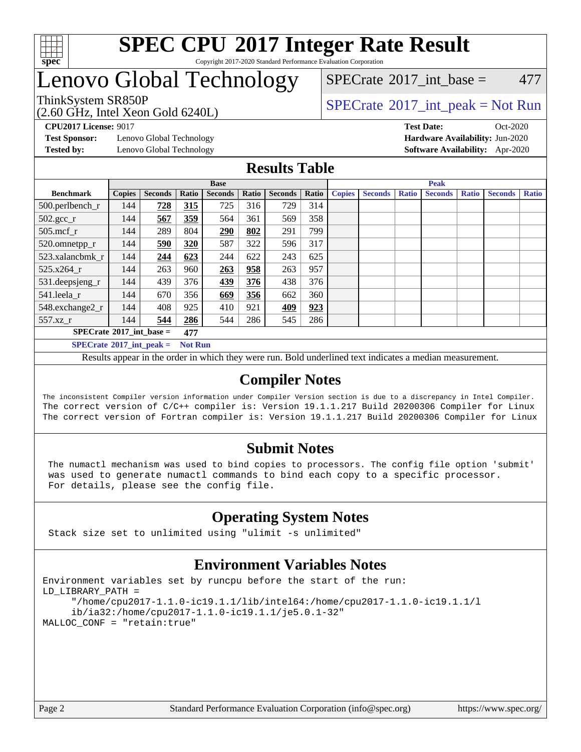

#### **[SPEC CPU](http://www.spec.org/auto/cpu2017/Docs/result-fields.html#SPECCPU2017IntegerRateResult)[2017 Integer Rate Result](http://www.spec.org/auto/cpu2017/Docs/result-fields.html#SPECCPU2017IntegerRateResult)** Copyright 2017-2020 Standard Performance Evaluation Corporation

# Lenovo Global Technology

(2.60 GHz, Intel Xeon Gold 6240L)

ThinkSystem SR850P<br>  $\begin{array}{c}\n\text{SPECTI} \\
\text{SPECTI} \\
\text{SPECTI} \\
\text{SPECTI} \\
\text{SPECTI} \\
\text{SPECTI} \\
\text{SPECTI} \\
\text{SPECTI} \\
\text{SPECTI} \\
\text{SPECTI} \\
\text{SPECTI} \\
\text{SPECTI} \\
\text{SPECTI} \\
\text{SPECTI} \\
\text{S OF} \\
\text{S OF} \\
\text{S OF} \\
\text{S OF} \\
\text{S OF} \\
\text{S OF} \\
\text{S OF} \\
\text{S OF} \\
\text{S OF} \\
\text{S OF} \\
\text{S OF} \\
\text{$ 

 $SPECTate$ <sup>®</sup>[2017\\_int\\_base =](http://www.spec.org/auto/cpu2017/Docs/result-fields.html#SPECrate2017intbase) 477

**[Test Sponsor:](http://www.spec.org/auto/cpu2017/Docs/result-fields.html#TestSponsor)** Lenovo Global Technology **[Hardware Availability:](http://www.spec.org/auto/cpu2017/Docs/result-fields.html#HardwareAvailability)** Jun-2020

**[CPU2017 License:](http://www.spec.org/auto/cpu2017/Docs/result-fields.html#CPU2017License)** 9017 **[Test Date:](http://www.spec.org/auto/cpu2017/Docs/result-fields.html#TestDate)** Oct-2020 **[Tested by:](http://www.spec.org/auto/cpu2017/Docs/result-fields.html#Testedby)** Lenovo Global Technology **[Software Availability:](http://www.spec.org/auto/cpu2017/Docs/result-fields.html#SoftwareAvailability)** Apr-2020

### **[Results Table](http://www.spec.org/auto/cpu2017/Docs/result-fields.html#ResultsTable)**

|                                   | <b>Base</b>   |                |                |                |       | <b>Peak</b>    |       |               |                |              |                |              |                |              |
|-----------------------------------|---------------|----------------|----------------|----------------|-------|----------------|-------|---------------|----------------|--------------|----------------|--------------|----------------|--------------|
| <b>Benchmark</b>                  | <b>Copies</b> | <b>Seconds</b> | Ratio          | <b>Seconds</b> | Ratio | <b>Seconds</b> | Ratio | <b>Copies</b> | <b>Seconds</b> | <b>Ratio</b> | <b>Seconds</b> | <b>Ratio</b> | <b>Seconds</b> | <b>Ratio</b> |
| 500.perlbench_r                   | 144           | 728            | 315            | 725            | 316   | 729            | 314   |               |                |              |                |              |                |              |
| $502.\text{gcc}_r$                | 144           | 567            | 359            | 564            | 361   | 569            | 358   |               |                |              |                |              |                |              |
| $505$ .mcf r                      | 144           | 289            | 804            | 290            | 802   | 291            | 799   |               |                |              |                |              |                |              |
| 520.omnetpp_r                     | 144           | 590            | 320            | 587            | 322   | 596            | 317   |               |                |              |                |              |                |              |
| 523.xalancbmk r                   | 144           | 244            | 623            | 244            | 622   | 243            | 625   |               |                |              |                |              |                |              |
| 525.x264 r                        | 144           | 263            | 960            | 263            | 958   | 263            | 957   |               |                |              |                |              |                |              |
| 531.deepsjeng_r                   | 144           | 439            | 376            | 439            | 376   | 438            | 376   |               |                |              |                |              |                |              |
| 541.leela r                       | 144           | 670            | 356            | 669            | 356   | 662            | 360   |               |                |              |                |              |                |              |
| 548.exchange2_r                   | 144           | 408            | 925            | 410            | 921   | 409            | 923   |               |                |              |                |              |                |              |
| 557.xz r                          | 144           | 544            | 286            | 544            | 286   | 545            | 286   |               |                |              |                |              |                |              |
| $SPECrate^{\circ}2017$ int base = |               |                | 477            |                |       |                |       |               |                |              |                |              |                |              |
| $SPECrate^{\circ}2017$ int peak = |               |                | <b>Not Run</b> |                |       |                |       |               |                |              |                |              |                |              |

Results appear in the [order in which they were run](http://www.spec.org/auto/cpu2017/Docs/result-fields.html#RunOrder). Bold underlined text [indicates a median measurement](http://www.spec.org/auto/cpu2017/Docs/result-fields.html#Median).

### **[Compiler Notes](http://www.spec.org/auto/cpu2017/Docs/result-fields.html#CompilerNotes)**

The inconsistent Compiler version information under Compiler Version section is due to a discrepancy in Intel Compiler. The correct version of C/C++ compiler is: Version 19.1.1.217 Build 20200306 Compiler for Linux The correct version of Fortran compiler is: Version 19.1.1.217 Build 20200306 Compiler for Linux

### **[Submit Notes](http://www.spec.org/auto/cpu2017/Docs/result-fields.html#SubmitNotes)**

 The numactl mechanism was used to bind copies to processors. The config file option 'submit' was used to generate numactl commands to bind each copy to a specific processor. For details, please see the config file.

### **[Operating System Notes](http://www.spec.org/auto/cpu2017/Docs/result-fields.html#OperatingSystemNotes)**

Stack size set to unlimited using "ulimit -s unlimited"

### **[Environment Variables Notes](http://www.spec.org/auto/cpu2017/Docs/result-fields.html#EnvironmentVariablesNotes)**

```
Environment variables set by runcpu before the start of the run:
LD_LIBRARY_PATH =
      "/home/cpu2017-1.1.0-ic19.1.1/lib/intel64:/home/cpu2017-1.1.0-ic19.1.1/l
      ib/ia32:/home/cpu2017-1.1.0-ic19.1.1/je5.0.1-32"
MALLOC_CONF = "retain:true"
```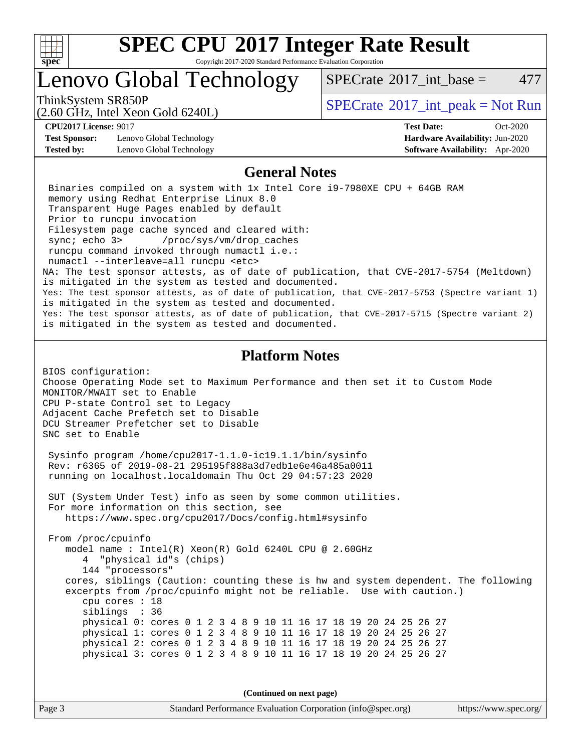

Copyright 2017-2020 Standard Performance Evaluation Corporation

### Lenovo Global Technology

 $SPECTate^{\circ}2017$  int base = 477

(2.60 GHz, Intel Xeon Gold 6240L)

ThinkSystem SR850P<br>  $\begin{array}{c}\n\text{SPECTI}_2 \text{ Intel Year Cold} \leq 240 \text{ J} \\
\text{SPECTI}_3 \text{ int\_peak} = \text{Not Run}\n\end{array}$ 

**[Test Sponsor:](http://www.spec.org/auto/cpu2017/Docs/result-fields.html#TestSponsor)** Lenovo Global Technology **[Hardware Availability:](http://www.spec.org/auto/cpu2017/Docs/result-fields.html#HardwareAvailability)** Jun-2020 **[Tested by:](http://www.spec.org/auto/cpu2017/Docs/result-fields.html#Testedby)** Lenovo Global Technology **[Software Availability:](http://www.spec.org/auto/cpu2017/Docs/result-fields.html#SoftwareAvailability)** Apr-2020

**[CPU2017 License:](http://www.spec.org/auto/cpu2017/Docs/result-fields.html#CPU2017License)** 9017 **[Test Date:](http://www.spec.org/auto/cpu2017/Docs/result-fields.html#TestDate)** Oct-2020

### **[General Notes](http://www.spec.org/auto/cpu2017/Docs/result-fields.html#GeneralNotes)**

 Binaries compiled on a system with 1x Intel Core i9-7980XE CPU + 64GB RAM memory using Redhat Enterprise Linux 8.0 Transparent Huge Pages enabled by default Prior to runcpu invocation Filesystem page cache synced and cleared with: sync; echo 3> /proc/sys/vm/drop\_caches runcpu command invoked through numactl i.e.: numactl --interleave=all runcpu <etc> NA: The test sponsor attests, as of date of publication, that CVE-2017-5754 (Meltdown) is mitigated in the system as tested and documented. Yes: The test sponsor attests, as of date of publication, that CVE-2017-5753 (Spectre variant 1) is mitigated in the system as tested and documented. Yes: The test sponsor attests, as of date of publication, that CVE-2017-5715 (Spectre variant 2) is mitigated in the system as tested and documented.

### **[Platform Notes](http://www.spec.org/auto/cpu2017/Docs/result-fields.html#PlatformNotes)**

BIOS configuration: Choose Operating Mode set to Maximum Performance and then set it to Custom Mode MONITOR/MWAIT set to Enable CPU P-state Control set to Legacy Adjacent Cache Prefetch set to Disable DCU Streamer Prefetcher set to Disable SNC set to Enable

 Sysinfo program /home/cpu2017-1.1.0-ic19.1.1/bin/sysinfo Rev: r6365 of 2019-08-21 295195f888a3d7edb1e6e46a485a0011 running on localhost.localdomain Thu Oct 29 04:57:23 2020

 SUT (System Under Test) info as seen by some common utilities. For more information on this section, see <https://www.spec.org/cpu2017/Docs/config.html#sysinfo>

 From /proc/cpuinfo model name : Intel(R) Xeon(R) Gold 6240L CPU @ 2.60GHz 4 "physical id"s (chips) 144 "processors" cores, siblings (Caution: counting these is hw and system dependent. The following excerpts from /proc/cpuinfo might not be reliable. Use with caution.) cpu cores : 18 siblings : 36 physical 0: cores 0 1 2 3 4 8 9 10 11 16 17 18 19 20 24 25 26 27 physical 1: cores 0 1 2 3 4 8 9 10 11 16 17 18 19 20 24 25 26 27 physical 2: cores 0 1 2 3 4 8 9 10 11 16 17 18 19 20 24 25 26 27 physical 3: cores 0 1 2 3 4 8 9 10 11 16 17 18 19 20 24 25 26 27

**(Continued on next page)**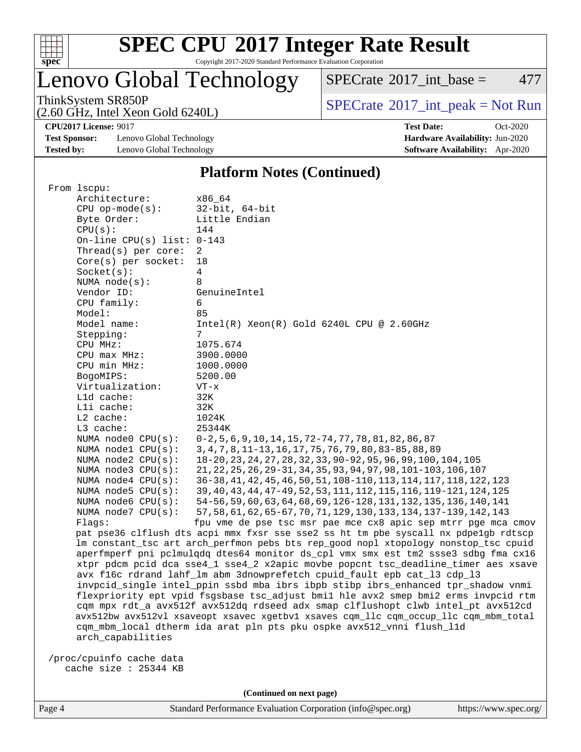

Copyright 2017-2020 Standard Performance Evaluation Corporation

# Lenovo Global Technology

 $SPECTate$ <sup>®</sup>[2017\\_int\\_base =](http://www.spec.org/auto/cpu2017/Docs/result-fields.html#SPECrate2017intbase) 477

(2.60 GHz, Intel Xeon Gold 6240L)

ThinkSystem SR850P<br>  $(2.60 \text{ GHz, Intel Yoon Gold } 6240I)$  [SPECrate](http://www.spec.org/auto/cpu2017/Docs/result-fields.html#SPECrate2017intpeak)®[2017\\_int\\_peak = N](http://www.spec.org/auto/cpu2017/Docs/result-fields.html#SPECrate2017intpeak)ot Run

**[CPU2017 License:](http://www.spec.org/auto/cpu2017/Docs/result-fields.html#CPU2017License)** 9017 **[Test Date:](http://www.spec.org/auto/cpu2017/Docs/result-fields.html#TestDate)** Oct-2020

**[Test Sponsor:](http://www.spec.org/auto/cpu2017/Docs/result-fields.html#TestSponsor)** Lenovo Global Technology **[Hardware Availability:](http://www.spec.org/auto/cpu2017/Docs/result-fields.html#HardwareAvailability)** Jun-2020 **[Tested by:](http://www.spec.org/auto/cpu2017/Docs/result-fields.html#Testedby)** Lenovo Global Technology **[Software Availability:](http://www.spec.org/auto/cpu2017/Docs/result-fields.html#SoftwareAvailability)** Apr-2020

### **[Platform Notes \(Continued\)](http://www.spec.org/auto/cpu2017/Docs/result-fields.html#PlatformNotes)**

| From lscpu:                                                                          |                                                                                     |  |  |  |  |  |
|--------------------------------------------------------------------------------------|-------------------------------------------------------------------------------------|--|--|--|--|--|
| Architecture:                                                                        | x86 64                                                                              |  |  |  |  |  |
| $CPU$ op-mode( $s$ ):                                                                | $32$ -bit, $64$ -bit                                                                |  |  |  |  |  |
| Byte Order:                                                                          | Little Endian                                                                       |  |  |  |  |  |
| CPU(s):                                                                              | 144                                                                                 |  |  |  |  |  |
| On-line CPU(s) list: $0-143$                                                         |                                                                                     |  |  |  |  |  |
| Thread(s) per core:                                                                  | 2                                                                                   |  |  |  |  |  |
| Core(s) per socket:                                                                  | 18                                                                                  |  |  |  |  |  |
| Socket(s):                                                                           | 4                                                                                   |  |  |  |  |  |
| NUMA node(s):                                                                        | 8                                                                                   |  |  |  |  |  |
| Vendor ID:                                                                           | GenuineIntel                                                                        |  |  |  |  |  |
| CPU family:                                                                          | 6                                                                                   |  |  |  |  |  |
| Model:                                                                               | 85                                                                                  |  |  |  |  |  |
| Model name:                                                                          | $Intel(R) Xeon(R) Gold 6240L CPU @ 2.60GHz$                                         |  |  |  |  |  |
| Stepping:                                                                            | 7                                                                                   |  |  |  |  |  |
| CPU MHz:                                                                             | 1075.674                                                                            |  |  |  |  |  |
| CPU max MHz:                                                                         | 3900.0000                                                                           |  |  |  |  |  |
| CPU min MHz:                                                                         | 1000.0000                                                                           |  |  |  |  |  |
| BogoMIPS:                                                                            | 5200.00                                                                             |  |  |  |  |  |
| Virtualization:                                                                      | $VT - x$                                                                            |  |  |  |  |  |
| L1d cache:                                                                           | 32K                                                                                 |  |  |  |  |  |
| Lli cache:                                                                           | 32K                                                                                 |  |  |  |  |  |
| L2 cache:                                                                            | 1024K                                                                               |  |  |  |  |  |
| L3 cache:                                                                            | 25344K                                                                              |  |  |  |  |  |
| NUMA node0 CPU(s):                                                                   | 0-2, 5, 6, 9, 10, 14, 15, 72-74, 77, 78, 81, 82, 86, 87                             |  |  |  |  |  |
| NUMA nodel CPU(s):                                                                   | 3, 4, 7, 8, 11-13, 16, 17, 75, 76, 79, 80, 83-85, 88, 89                            |  |  |  |  |  |
| NUMA $node2$ $CPU(s):$                                                               | 18-20, 23, 24, 27, 28, 32, 33, 90-92, 95, 96, 99, 100, 104, 105                     |  |  |  |  |  |
| NUMA $node3$ CPU $(s)$ :                                                             | 21, 22, 25, 26, 29-31, 34, 35, 93, 94, 97, 98, 101-103, 106, 107                    |  |  |  |  |  |
| NUMA $node4$ CPU $(s)$ :                                                             | 36-38, 41, 42, 45, 46, 50, 51, 108-110, 113, 114, 117, 118, 122, 123                |  |  |  |  |  |
| NUMA $node5$ $CPU(s):$                                                               | 39, 40, 43, 44, 47-49, 52, 53, 111, 112, 115, 116, 119-121, 124, 125                |  |  |  |  |  |
| NUMA node6 CPU(s):                                                                   | 54-56, 59, 60, 63, 64, 68, 69, 126-128, 131, 132, 135, 136, 140, 141                |  |  |  |  |  |
| NUMA node7 CPU(s):                                                                   | 57, 58, 61, 62, 65-67, 70, 71, 129, 130, 133, 134, 137-139, 142, 143                |  |  |  |  |  |
| Flags:                                                                               | fpu vme de pse tsc msr pae mce cx8 apic sep mtrr pge mca cmov                       |  |  |  |  |  |
|                                                                                      | pat pse36 clflush dts acpi mmx fxsr sse sse2 ss ht tm pbe syscall nx pdpelgb rdtscp |  |  |  |  |  |
|                                                                                      | lm constant_tsc art arch_perfmon pebs bts rep_good nopl xtopology nonstop_tsc cpuid |  |  |  |  |  |
|                                                                                      | aperfmperf pni pclmulqdq dtes64 monitor ds_cpl vmx smx est tm2 ssse3 sdbg fma cx16  |  |  |  |  |  |
|                                                                                      | xtpr pdcm pcid dca sse4_1 sse4_2 x2apic movbe popcnt tsc_deadline_timer aes xsave   |  |  |  |  |  |
|                                                                                      | avx f16c rdrand lahf_lm abm 3dnowprefetch cpuid_fault epb cat_13 cdp_13             |  |  |  |  |  |
|                                                                                      | invpcid_single intel_ppin ssbd mba ibrs ibpb stibp ibrs_enhanced tpr_shadow vnmi    |  |  |  |  |  |
| flexpriority ept vpid fsgsbase tsc_adjust bmil hle avx2 smep bmi2 erms invpcid rtm   |                                                                                     |  |  |  |  |  |
|                                                                                      | cqm mpx rdt_a avx512f avx512dq rdseed adx smap clflushopt clwb intel_pt avx512cd    |  |  |  |  |  |
| avx512bw avx512vl xsaveopt xsavec xgetbvl xsaves cqm_llc cqm_occup_llc cqm_mbm_total |                                                                                     |  |  |  |  |  |
|                                                                                      | cqm_mbm_local dtherm ida arat pln pts pku ospke avx512_vnni flush_l1d               |  |  |  |  |  |
| arch capabilities                                                                    |                                                                                     |  |  |  |  |  |
|                                                                                      |                                                                                     |  |  |  |  |  |
| /proc/cpuinfo cache data                                                             |                                                                                     |  |  |  |  |  |
| cache size : 25344 KB                                                                |                                                                                     |  |  |  |  |  |
|                                                                                      |                                                                                     |  |  |  |  |  |

Page 4 Standard Performance Evaluation Corporation [\(info@spec.org\)](mailto:info@spec.org) <https://www.spec.org/>

**(Continued on next page)**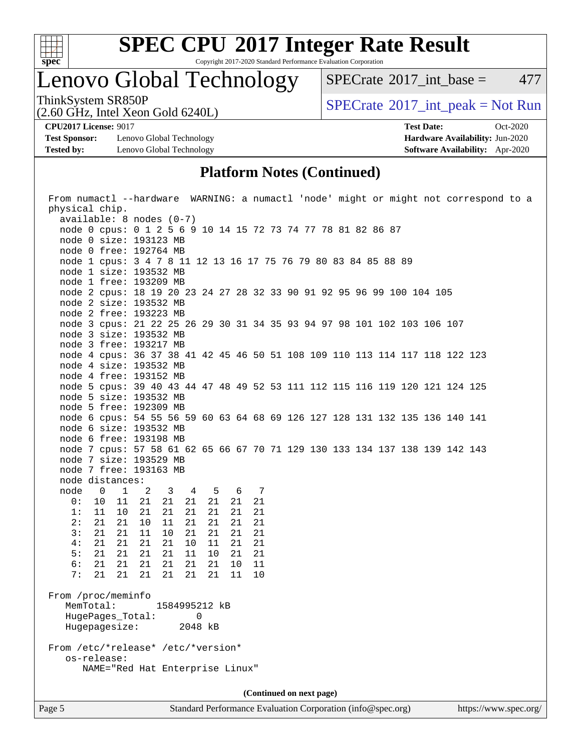

Copyright 2017-2020 Standard Performance Evaluation Corporation

# Lenovo Global Technology

 $SPECTate$ <sup>®</sup>[2017\\_int\\_base =](http://www.spec.org/auto/cpu2017/Docs/result-fields.html#SPECrate2017intbase) 477

(2.60 GHz, Intel Xeon Gold 6240L)

ThinkSystem SR850P<br>  $(2.60 \text{ GHz})$  Intel Xeon Gold 6240L)

**[Test Sponsor:](http://www.spec.org/auto/cpu2017/Docs/result-fields.html#TestSponsor)** Lenovo Global Technology **[Hardware Availability:](http://www.spec.org/auto/cpu2017/Docs/result-fields.html#HardwareAvailability)** Jun-2020 **[Tested by:](http://www.spec.org/auto/cpu2017/Docs/result-fields.html#Testedby)** Lenovo Global Technology **[Software Availability:](http://www.spec.org/auto/cpu2017/Docs/result-fields.html#SoftwareAvailability)** Apr-2020

**[CPU2017 License:](http://www.spec.org/auto/cpu2017/Docs/result-fields.html#CPU2017License)** 9017 **[Test Date:](http://www.spec.org/auto/cpu2017/Docs/result-fields.html#TestDate)** Oct-2020

### **[Platform Notes \(Continued\)](http://www.spec.org/auto/cpu2017/Docs/result-fields.html#PlatformNotes)**

|                                                   |                            | From numactl --hardware WARNING: a numactl 'node' might or might not correspond to a |  |  |  |  |
|---------------------------------------------------|----------------------------|--------------------------------------------------------------------------------------|--|--|--|--|
| physical chip.                                    |                            |                                                                                      |  |  |  |  |
| $available: 8 nodes (0-7)$                        |                            |                                                                                      |  |  |  |  |
|                                                   |                            | node 0 cpus: 0 1 2 5 6 9 10 14 15 72 73 74 77 78 81 82 86 87                         |  |  |  |  |
| node 0 size: 193123 MB                            |                            |                                                                                      |  |  |  |  |
| node 0 free: 192764 MB                            |                            |                                                                                      |  |  |  |  |
|                                                   |                            | node 1 cpus: 3 4 7 8 11 12 13 16 17 75 76 79 80 83 84 85 88 89                       |  |  |  |  |
| node 1 size: 193532 MB                            |                            |                                                                                      |  |  |  |  |
| node 1 free: 193209 MB                            |                            |                                                                                      |  |  |  |  |
|                                                   |                            | node 2 cpus: 18 19 20 23 24 27 28 32 33 90 91 92 95 96 99 100 104 105                |  |  |  |  |
| node 2 size: 193532 MB                            |                            |                                                                                      |  |  |  |  |
| node 2 free: 193223 MB                            |                            |                                                                                      |  |  |  |  |
|                                                   |                            | node 3 cpus: 21 22 25 26 29 30 31 34 35 93 94 97 98 101 102 103 106 107              |  |  |  |  |
| node 3 size: 193532 MB                            |                            |                                                                                      |  |  |  |  |
| node 3 free: 193217 MB                            |                            |                                                                                      |  |  |  |  |
|                                                   |                            | node 4 cpus: 36 37 38 41 42 45 46 50 51 108 109 110 113 114 117 118 122 123          |  |  |  |  |
| node 4 size: 193532 MB                            |                            |                                                                                      |  |  |  |  |
| node 4 free: 193152 MB                            |                            |                                                                                      |  |  |  |  |
|                                                   |                            | node 5 cpus: 39 40 43 44 47 48 49 52 53 111 112 115 116 119 120 121 124 125          |  |  |  |  |
| node 5 size: 193532 MB                            |                            |                                                                                      |  |  |  |  |
| node 5 free: 192309 MB                            |                            |                                                                                      |  |  |  |  |
|                                                   |                            | node 6 cpus: 54 55 56 59 60 63 64 68 69 126 127 128 131 132 135 136 140 141          |  |  |  |  |
| node 6 size: 193532 MB                            |                            |                                                                                      |  |  |  |  |
| node 6 free: 193198 MB                            |                            |                                                                                      |  |  |  |  |
|                                                   |                            | node 7 cpus: 57 58 61 62 65 66 67 70 71 129 130 133 134 137 138 139 142 143          |  |  |  |  |
| node 7 size: 193529 MB                            |                            |                                                                                      |  |  |  |  |
| node 7 free: 193163 MB                            |                            |                                                                                      |  |  |  |  |
| node distances:                                   |                            |                                                                                      |  |  |  |  |
| node 0<br>$\overline{1}$                          | 2 3 4 5<br>6 7             |                                                                                      |  |  |  |  |
| 0:<br>10<br>11                                    | 21<br>21<br>21 21<br>21    | 21                                                                                   |  |  |  |  |
| 1:<br>11<br>10                                    | 21<br>21<br>21<br>21<br>21 | 21                                                                                   |  |  |  |  |
| 2:<br>21<br>21                                    | 10<br>11<br>21<br>21<br>21 | 21                                                                                   |  |  |  |  |
| 21<br>3:<br>21                                    | 11<br>10<br>21<br>21<br>21 | 21                                                                                   |  |  |  |  |
| 4:<br>21<br>21                                    | 21<br>21<br>10<br>11<br>21 | 21                                                                                   |  |  |  |  |
| 5:<br>21<br>21                                    | 21<br>10<br>21<br>11<br>21 | 21                                                                                   |  |  |  |  |
| 6:<br>21<br>21                                    | 21<br>21<br>21<br>21<br>10 | 11                                                                                   |  |  |  |  |
| 7:<br>21<br>21                                    | 21<br>21<br>21 21<br>11    | 10                                                                                   |  |  |  |  |
| From /proc/meminfo                                |                            |                                                                                      |  |  |  |  |
| MemTotal:                                         | 1584995212 kB              |                                                                                      |  |  |  |  |
| HugePages_Total:                                  | $\Omega$                   |                                                                                      |  |  |  |  |
| Hugepagesize:                                     | 2048 kB                    |                                                                                      |  |  |  |  |
|                                                   |                            |                                                                                      |  |  |  |  |
|                                                   |                            |                                                                                      |  |  |  |  |
| From /etc/*release* /etc/*version*<br>os-release: |                            |                                                                                      |  |  |  |  |
| NAME="Red Hat Enterprise Linux"                   |                            |                                                                                      |  |  |  |  |
|                                                   |                            |                                                                                      |  |  |  |  |
| (Continued on next page)                          |                            |                                                                                      |  |  |  |  |
|                                                   |                            |                                                                                      |  |  |  |  |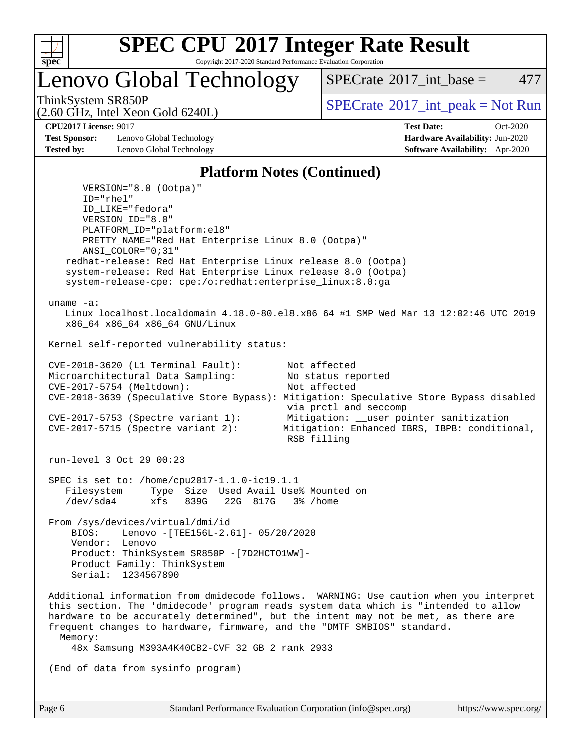

Copyright 2017-2020 Standard Performance Evaluation Corporation

Lenovo Global Technology

 $SPECTate^{\circ}2017$  int base = 477

(2.60 GHz, Intel Xeon Gold 6240L)

ThinkSystem SR850P<br>  $\begin{array}{c}\n\text{SPECTI}_2 \text{ Intel Year Cold} \leq 240 \text{ J} \\
\text{SPECTI}_3 \text{ int\_peak} = \text{Not Run}\n\end{array}$ 

**[Test Sponsor:](http://www.spec.org/auto/cpu2017/Docs/result-fields.html#TestSponsor)** Lenovo Global Technology **[Hardware Availability:](http://www.spec.org/auto/cpu2017/Docs/result-fields.html#HardwareAvailability)** Jun-2020 **[Tested by:](http://www.spec.org/auto/cpu2017/Docs/result-fields.html#Testedby)** Lenovo Global Technology **[Software Availability:](http://www.spec.org/auto/cpu2017/Docs/result-fields.html#SoftwareAvailability)** Apr-2020

**[CPU2017 License:](http://www.spec.org/auto/cpu2017/Docs/result-fields.html#CPU2017License)** 9017 **[Test Date:](http://www.spec.org/auto/cpu2017/Docs/result-fields.html#TestDate)** Oct-2020

### **[Platform Notes \(Continued\)](http://www.spec.org/auto/cpu2017/Docs/result-fields.html#PlatformNotes)**

 VERSION="8.0 (Ootpa)" ID="rhel" ID\_LIKE="fedora" VERSION\_ID="8.0" PLATFORM\_ID="platform:el8" PRETTY\_NAME="Red Hat Enterprise Linux 8.0 (Ootpa)" ANSI\_COLOR="0;31" redhat-release: Red Hat Enterprise Linux release 8.0 (Ootpa) system-release: Red Hat Enterprise Linux release 8.0 (Ootpa) system-release-cpe: cpe:/o:redhat:enterprise\_linux:8.0:ga uname -a: Linux localhost.localdomain 4.18.0-80.el8.x86\_64 #1 SMP Wed Mar 13 12:02:46 UTC 2019 x86\_64 x86\_64 x86\_64 GNU/Linux Kernel self-reported vulnerability status: CVE-2018-3620 (L1 Terminal Fault): Not affected Microarchitectural Data Sampling: No status reported<br>CVE-2017-5754 (Meltdown): Not affected  $CVE-2017-5754$  (Meltdown): CVE-2018-3639 (Speculative Store Bypass): Mitigation: Speculative Store Bypass disabled via prctl and seccomp CVE-2017-5753 (Spectre variant 1): Mitigation: \_\_user pointer sanitization<br>CVE-2017-5715 (Spectre variant 2): Mitigation: Enhanced IBRS, IBPB: condition Mitigation: Enhanced IBRS, IBPB: conditional, RSB filling run-level 3 Oct 29 00:23 SPEC is set to: /home/cpu2017-1.1.0-ic19.1.1 Filesystem Type Size Used Avail Use% Mounted on /dev/sda4 xfs 839G 22G 817G 3% /home From /sys/devices/virtual/dmi/id BIOS: Lenovo -[TEE156L-2.61]- 05/20/2020 Vendor: Lenovo Product: ThinkSystem SR850P -[7D2HCTO1WW]- Product Family: ThinkSystem Serial: 1234567890 Additional information from dmidecode follows. WARNING: Use caution when you interpret this section. The 'dmidecode' program reads system data which is "intended to allow hardware to be accurately determined", but the intent may not be met, as there are frequent changes to hardware, firmware, and the "DMTF SMBIOS" standard. Memory: 48x Samsung M393A4K40CB2-CVF 32 GB 2 rank 2933 (End of data from sysinfo program)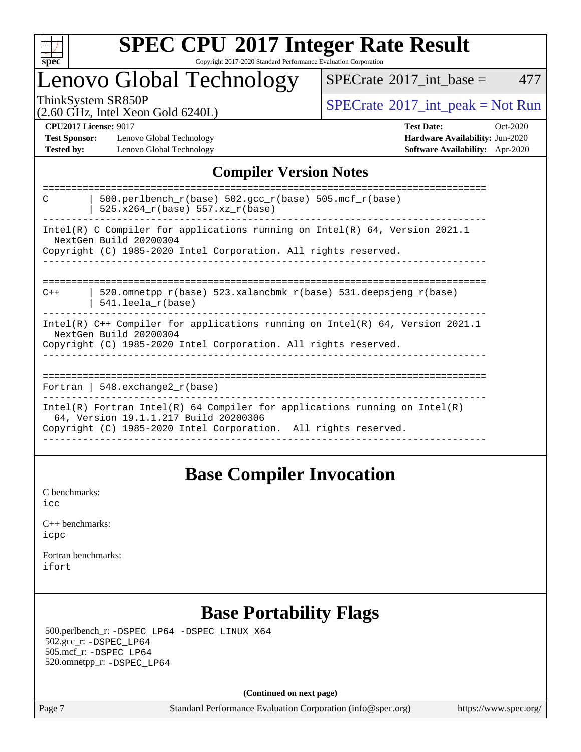

### **[SPEC CPU](http://www.spec.org/auto/cpu2017/Docs/result-fields.html#SPECCPU2017IntegerRateResult)[2017 Integer Rate Result](http://www.spec.org/auto/cpu2017/Docs/result-fields.html#SPECCPU2017IntegerRateResult)** Copyright 2017-2020 Standard Performance Evaluation Corporation

### Lenovo Global Technology

 $SPECTate$ <sup>®</sup>[2017\\_int\\_base =](http://www.spec.org/auto/cpu2017/Docs/result-fields.html#SPECrate2017intbase) 477

(2.60 GHz, Intel Xeon Gold 6240L)

ThinkSystem SR850P<br>  $\begin{array}{c}\n\text{SPECTB} \\
\text{SPECTB} \\
\text{SPECTB} \\
\text{SPECTB} \\
\text{SPECTB} \\
\text{SPECTB} \\
\text{SPECTB} \\
\text{SPECTB} \\
\text{SPECTB} \\
\text{SPECTB} \\
\text{SPECTB} \\
\text{SPECTB} \\
\text{SPECTB} \\
\text{SPECTB} \\
\text{SPECTB} \\
\text{SPECTB} \\
\text{SPECTB} \\
\text{SPECTB} \\
\text{SPECTB} \\
\text{SPECTB} \\
\text{SPECTB} \\
\text{SPECTB} \\
\text{SISTB} \\
\text{SISTB} \\$ 

**[Test Sponsor:](http://www.spec.org/auto/cpu2017/Docs/result-fields.html#TestSponsor)** Lenovo Global Technology **[Hardware Availability:](http://www.spec.org/auto/cpu2017/Docs/result-fields.html#HardwareAvailability)** Jun-2020 **[Tested by:](http://www.spec.org/auto/cpu2017/Docs/result-fields.html#Testedby)** Lenovo Global Technology **[Software Availability:](http://www.spec.org/auto/cpu2017/Docs/result-fields.html#SoftwareAvailability)** Apr-2020

**[CPU2017 License:](http://www.spec.org/auto/cpu2017/Docs/result-fields.html#CPU2017License)** 9017 **[Test Date:](http://www.spec.org/auto/cpu2017/Docs/result-fields.html#TestDate)** Oct-2020

### **[Compiler Version Notes](http://www.spec.org/auto/cpu2017/Docs/result-fields.html#CompilerVersionNotes)**

| 500.perlbench_r(base) 502.gcc_r(base) 505.mcf_r(base)<br>C<br>$525.x264_r(base) 557.xz_r(base)$                                                                                        |  |  |  |  |
|----------------------------------------------------------------------------------------------------------------------------------------------------------------------------------------|--|--|--|--|
| Intel(R) C Compiler for applications running on Intel(R) $64$ , Version 2021.1<br>NextGen Build 20200304<br>Copyright (C) 1985-2020 Intel Corporation. All rights reserved.            |  |  |  |  |
| ---------------<br>-----------------------------<br>520.omnetpp $r(base)$ 523.xalancbmk $r(base)$ 531.deepsjeng $r(base)$<br>$C++$<br>$541.$ leela r(base)                             |  |  |  |  |
| Intel(R) $C++$ Compiler for applications running on Intel(R) 64, Version 2021.1<br>NextGen Build 20200304<br>Copyright (C) 1985-2020 Intel Corporation. All rights reserved.           |  |  |  |  |
| Fortran   548.exchange2 $r(base)$                                                                                                                                                      |  |  |  |  |
| Intel(R) Fortran Intel(R) 64 Compiler for applications running on Intel(R)<br>64, Version 19.1.1.217 Build 20200306<br>Copyright (C) 1985-2020 Intel Corporation. All rights reserved. |  |  |  |  |

### **[Base Compiler Invocation](http://www.spec.org/auto/cpu2017/Docs/result-fields.html#BaseCompilerInvocation)**

[C benchmarks](http://www.spec.org/auto/cpu2017/Docs/result-fields.html#Cbenchmarks): [icc](http://www.spec.org/cpu2017/results/res2020q4/cpu2017-20201109-24363.flags.html#user_CCbase_intel_icc_66fc1ee009f7361af1fbd72ca7dcefbb700085f36577c54f309893dd4ec40d12360134090235512931783d35fd58c0460139e722d5067c5574d8eaf2b3e37e92)

| $C_{++}$ benchmarks: |  |
|----------------------|--|
| icpc                 |  |

[Fortran benchmarks](http://www.spec.org/auto/cpu2017/Docs/result-fields.html#Fortranbenchmarks): [ifort](http://www.spec.org/cpu2017/results/res2020q4/cpu2017-20201109-24363.flags.html#user_FCbase_intel_ifort_8111460550e3ca792625aed983ce982f94888b8b503583aa7ba2b8303487b4d8a21a13e7191a45c5fd58ff318f48f9492884d4413fa793fd88dd292cad7027ca)

### **[Base Portability Flags](http://www.spec.org/auto/cpu2017/Docs/result-fields.html#BasePortabilityFlags)**

 500.perlbench\_r: [-DSPEC\\_LP64](http://www.spec.org/cpu2017/results/res2020q4/cpu2017-20201109-24363.flags.html#b500.perlbench_r_basePORTABILITY_DSPEC_LP64) [-DSPEC\\_LINUX\\_X64](http://www.spec.org/cpu2017/results/res2020q4/cpu2017-20201109-24363.flags.html#b500.perlbench_r_baseCPORTABILITY_DSPEC_LINUX_X64) 502.gcc\_r: [-DSPEC\\_LP64](http://www.spec.org/cpu2017/results/res2020q4/cpu2017-20201109-24363.flags.html#suite_basePORTABILITY502_gcc_r_DSPEC_LP64) 505.mcf\_r: [-DSPEC\\_LP64](http://www.spec.org/cpu2017/results/res2020q4/cpu2017-20201109-24363.flags.html#suite_basePORTABILITY505_mcf_r_DSPEC_LP64) 520.omnetpp\_r: [-DSPEC\\_LP64](http://www.spec.org/cpu2017/results/res2020q4/cpu2017-20201109-24363.flags.html#suite_basePORTABILITY520_omnetpp_r_DSPEC_LP64)

**(Continued on next page)**

Page 7 Standard Performance Evaluation Corporation [\(info@spec.org\)](mailto:info@spec.org) <https://www.spec.org/>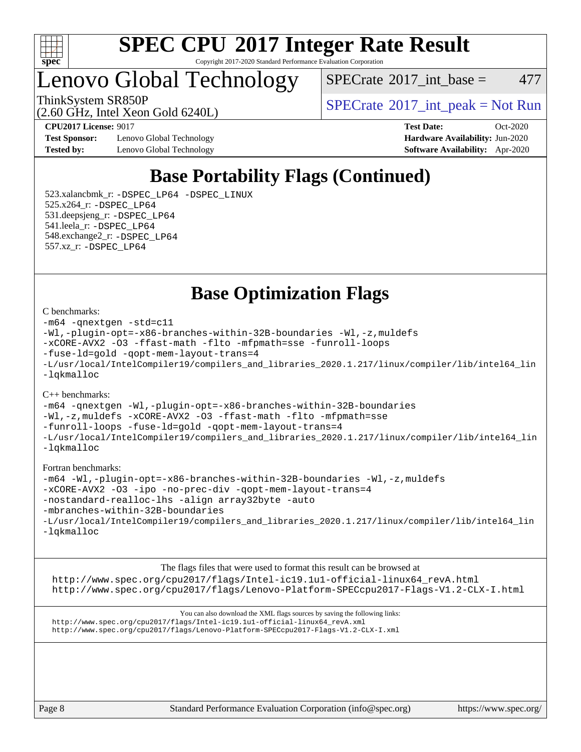

Copyright 2017-2020 Standard Performance Evaluation Corporation

### Lenovo Global Technology

(2.60 GHz, Intel Xeon Gold 6240L)

 $SPECTate^{\circ}2017\_int\_base = 477$ 

ThinkSystem SR850P<br>  $\begin{array}{c}\n\text{SPECTI}_2 \text{ Intel Year Cold} \leq 240 \text{ J} \\
\text{SPECTI}_3 \text{ int\_peak} = \text{Not Run}\n\end{array}$ 

**[Test Sponsor:](http://www.spec.org/auto/cpu2017/Docs/result-fields.html#TestSponsor)** Lenovo Global Technology **[Hardware Availability:](http://www.spec.org/auto/cpu2017/Docs/result-fields.html#HardwareAvailability)** Jun-2020 **[Tested by:](http://www.spec.org/auto/cpu2017/Docs/result-fields.html#Testedby)** Lenovo Global Technology **[Software Availability:](http://www.spec.org/auto/cpu2017/Docs/result-fields.html#SoftwareAvailability)** Apr-2020

**[CPU2017 License:](http://www.spec.org/auto/cpu2017/Docs/result-fields.html#CPU2017License)** 9017 **[Test Date:](http://www.spec.org/auto/cpu2017/Docs/result-fields.html#TestDate)** Oct-2020

### **[Base Portability Flags \(Continued\)](http://www.spec.org/auto/cpu2017/Docs/result-fields.html#BasePortabilityFlags)**

 523.xalancbmk\_r: [-DSPEC\\_LP64](http://www.spec.org/cpu2017/results/res2020q4/cpu2017-20201109-24363.flags.html#suite_basePORTABILITY523_xalancbmk_r_DSPEC_LP64) [-DSPEC\\_LINUX](http://www.spec.org/cpu2017/results/res2020q4/cpu2017-20201109-24363.flags.html#b523.xalancbmk_r_baseCXXPORTABILITY_DSPEC_LINUX) 525.x264\_r: [-DSPEC\\_LP64](http://www.spec.org/cpu2017/results/res2020q4/cpu2017-20201109-24363.flags.html#suite_basePORTABILITY525_x264_r_DSPEC_LP64) 531.deepsjeng\_r: [-DSPEC\\_LP64](http://www.spec.org/cpu2017/results/res2020q4/cpu2017-20201109-24363.flags.html#suite_basePORTABILITY531_deepsjeng_r_DSPEC_LP64) 541.leela\_r: [-DSPEC\\_LP64](http://www.spec.org/cpu2017/results/res2020q4/cpu2017-20201109-24363.flags.html#suite_basePORTABILITY541_leela_r_DSPEC_LP64) 548.exchange2\_r: [-DSPEC\\_LP64](http://www.spec.org/cpu2017/results/res2020q4/cpu2017-20201109-24363.flags.html#suite_basePORTABILITY548_exchange2_r_DSPEC_LP64) 557.xz\_r: [-DSPEC\\_LP64](http://www.spec.org/cpu2017/results/res2020q4/cpu2017-20201109-24363.flags.html#suite_basePORTABILITY557_xz_r_DSPEC_LP64)

**[Base Optimization Flags](http://www.spec.org/auto/cpu2017/Docs/result-fields.html#BaseOptimizationFlags)**

#### [C benchmarks](http://www.spec.org/auto/cpu2017/Docs/result-fields.html#Cbenchmarks):

```
-m64 -qnextgen -std=c11
-Wl,-plugin-opt=-x86-branches-within-32B-boundaries -Wl,-z,muldefs
-xCORE-AVX2 -O3 -ffast-math -flto -mfpmath=sse -funroll-loops
-fuse-ld=gold -qopt-mem-layout-trans=4
-L/usr/local/IntelCompiler19/compilers_and_libraries_2020.1.217/linux/compiler/lib/intel64_lin
-lqkmalloc
```
#### [C++ benchmarks](http://www.spec.org/auto/cpu2017/Docs/result-fields.html#CXXbenchmarks):

```
-m64 -qnextgen -Wl,-plugin-opt=-x86-branches-within-32B-boundaries
-Wl,-z,muldefs -xCORE-AVX2 -O3 -ffast-math -flto -mfpmath=sse
-funroll-loops -fuse-ld=gold -qopt-mem-layout-trans=4
-L/usr/local/IntelCompiler19/compilers_and_libraries_2020.1.217/linux/compiler/lib/intel64_lin
-lqkmalloc
```
#### [Fortran benchmarks:](http://www.spec.org/auto/cpu2017/Docs/result-fields.html#Fortranbenchmarks)

```
-m64 -Wl,-plugin-opt=-x86-branches-within-32B-boundaries -Wl,-z,muldefs
-xCORE-AVX2 -O3 -ipo -no-prec-div -qopt-mem-layout-trans=4
-nostandard-realloc-lhs -align array32byte -auto
-mbranches-within-32B-boundaries
-L/usr/local/IntelCompiler19/compilers_and_libraries_2020.1.217/linux/compiler/lib/intel64_lin
-lqkmalloc
```
[The flags files that were used to format this result can be browsed at](tmsearch) [http://www.spec.org/cpu2017/flags/Intel-ic19.1u1-official-linux64\\_revA.html](http://www.spec.org/cpu2017/flags/Intel-ic19.1u1-official-linux64_revA.html) <http://www.spec.org/cpu2017/flags/Lenovo-Platform-SPECcpu2017-Flags-V1.2-CLX-I.html>

[You can also download the XML flags sources by saving the following links:](tmsearch) [http://www.spec.org/cpu2017/flags/Intel-ic19.1u1-official-linux64\\_revA.xml](http://www.spec.org/cpu2017/flags/Intel-ic19.1u1-official-linux64_revA.xml) <http://www.spec.org/cpu2017/flags/Lenovo-Platform-SPECcpu2017-Flags-V1.2-CLX-I.xml>